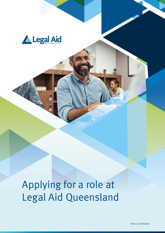

Applying for a role at **Legal Aid Queensland**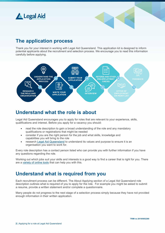



Thank you for your interest in working with Legal Aid Queensland. This application kit is designed to inform potential applicants about the recruitment and selection process. We encourage you to read this information carefully before applying.



# **Understand what the role is about**

Legal Aid Queensland encourages you to apply for roles that are relevant to your experience, skills, qualifications and interest. Before you apply for a vacancy you should:

- read the role description to gain a broad understanding of the role and any mandatory qualifications or registrations that might be needed
- consider if you are the right person for the job and what skills, knowledge and capabilities you will bring to the role
- research [Legal Aid Queensland](http://www.legalaid.qld.gov.au/About-us/Our-organisation) to understand its values and purpose to ensure it is an organisation you want to work for.

Every role description has a contact person listed who can provide you with further information if you have any questions regarding the role.

Working out which jobs suit your skills and interests is a good way to find a career that is right for you. There are a [variety of online tools](https://www.qld.gov.au/jobs/career/advice/matching) that can help you with this.

# **Understand what is required from you**

Each recruitment process can be different. The About Applying section of a Legal Aid Queensland role description outlines what is required of you to apply for the role. For example you might be asked to submit a resume, provide a written statement and/or complete a questionnaire.

Many people do not progress to the next stage of a selection process simply because they have not provided enough information in their written application.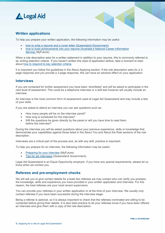



### **Written applications**

To help you prepare your written application, the following information may be useful:

- [how to write a resume and a cover letter \(Queensland Government\)](https://www.qld.gov.au/jobs/finding/resume)
- [how to build achievements into your resume \(Australia's National Career Information](https://myfuture.edu.au/career-insight/details?id=15-questions-to-help-write-strong-achievements#/)  [Service,](https://myfuture.edu.au/career-insight/details?id=15-questions-to-help-write-strong-achievements#/) MyFuture).

When a role description asks for a written statement in addition to your resume, this is commonly referred to as 'writing selection criteria'. If you haven't written this style of application before, take a moment to read about [how to respond to key selection criteria.](https://myfuture.edu.au/career-insight/details?id=how-to-respond-to-key-selection-criteria#/) 

It is important you follow the guidelines in the About Applying section. If the role description asks for a 2 page response and you provide a 3-page response, this can have an adverse effect on your application.

### **Interviews**

If you are contacted for further assessment you have been 'shortlisted' and will be asked to participate in the next level of assessment. This could be a telephone interview or a skill test however will usually include an interview.

An interview is the most common form of assessment used at Legal Aid Queensland and may include a test of your skills.

If you are asked to attend an interview you can ask questions such as:

- How many people will be on the interview panel?
- How long is scheduled for the interview?
- Will the questions be given directly by the panel or will you have time to read them before the interview?

During the interview you will be asked questions about your previous experience, skills or knowledge that demonstrate your capabilities against those listed in the About You and About the Role sections of the role description.

Interviews are a critical part of the process and, as with any skill, practice is important.

To help you prepare for an interview, the following information may be useful:

- **[Preparing for your interview](https://myfuture.edu.au/career-insight/details?id=job-interview-tips#/) (MyFuture)**
- [Tips for job interviews](https://www.qld.gov.au/jobs/finding/interviews) (Queensland Government).

Legal Aid Queensland is an Equal Opportunity employer, if you have any special requirements, please let us know when we contact you.

### **Referees and pre-employment checks**

We will ask you to give contact details for a least two referees we may contact who can verify you possess the knowledge, skills and experience you have provided in your written application and interview. For this reason, the best referees are your most recent supervisors.

You can provide your referees in your written application or at the time of your interview. We usually only contact referees if you have been successful during the interview stage.

Being a referee is optional, so it is always important to check that the referees nominated are willing to be contacted before giving their details. It is also best practice to let your referees know if you have been offered an interview and give them with a copy of the role description.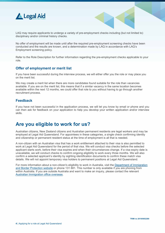



No offer of employment will be made until after the required pre-employment screening checks have been conducted and the results are known, and a determination made by LAQ in accordance with LAQ's Employment screening policy.

Refer to the Role Description for further information regarding the pre-employment checks applicable to your role.

#### **Offer of employment or merit list**

If you have been successful during the interview process, we will either offer you the role or may place you on the merit list.

We may create a merit list when there are more candidates found suitable for the role than vacancies available. If you are on the merit list, this means that if a similar vacancy in the same location becomes available within the next 12 months, we could offer that role to you without having to go through another recruitment process.

#### **Feedback**

If you have not been successful in the application process, we will let you know by email or phone and you can then ask for feedback on your application to help you develop your written application and/or interview skills.

## **Are you eligible to work for us?**

Australian citizens, New Zealand citizens and Australian permanent residents are legal workers and may be employed at Legal Aid Queensland. For appointees in these categories, a single check confirming identity and citizenship or permanent resident status at the time of employment is all that is needed.

A non-citizen with an Australian visa that has a work entitlement attached to their visa is also permitted to work at Legal Aid Queensland for the period of that visa. We will conduct visa checks before the selected applicant starts work, before their visa expires and when their circumstances change. If a visa expiry date is unavailable, we will conduct checks to confirm ongoing eligibility to work every three months. We will also confirm a selected applicant's identity by sighting identification documents to confirm these match visa details. We will not appoint temporary visa holders to permanent positions at Legal Aid Queensland.

For more information about a non-citizen's eligibility to work in Australia, visit the Department of Immigration [and Border Protection website](https://immi.homeaffairs.gov.au/visas/working-in-australia) or phone 131 881. This number is only available if you are phoning from within Australia. If you are outside Australia and want to make an inquiry, please contact the relevant [Australian Immigration office overseas.](https://immi.homeaffairs.gov.au/help-support/contact-us/telephone/outside-australia)